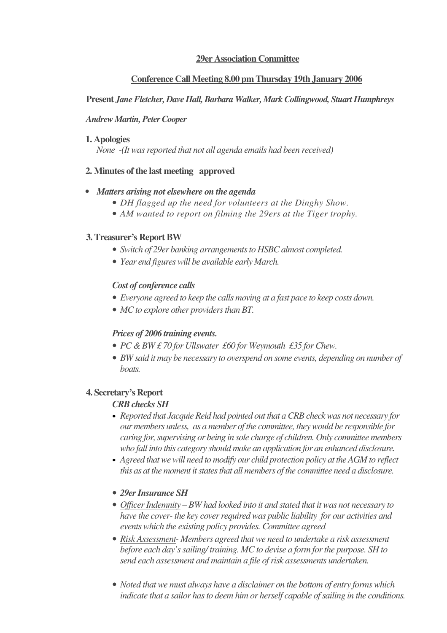# **29er Association Committee**

# **Conference Call Meeting 8.00 pm Thursday 19th January 2006**

# **Present** *JaneFletcher, Dave Hall,Barbara Walker, Mark Collingwood, Stuart Humphreys*

## *Andrew Martin, PeterCooper*

### **1. Apologies**

*None* -(It was reported that not all agenda emails had been received)

# **2. Minutes of the last meeting approved**

# *• Matters arising not elsewhere on the agenda*

- *DH flagged up the need for volunteers at the Dinghy Show.*
- *AM wanted to report on filming the 29ers at the Tiger trophy.*

# **3.Treasurer's Report BW**

- *Switch of 29er banking arrangements to HSBC almost completed.*
- *Year end figures will be available early March.*

# *Cost of conference calls*

- *Everyone agreed to keep the calls moving at a fast pace to keep costs down.*
- *MC to explore other providers than BT.*

# *Prices of 2006 training events.*

- *PC &BW £ 70 for Ullswater £60 for Weymouth £35 for Chew.*
- *BW said it may be necessary to overspend on some events, depending on number of boats.*

# **4. Secretary's Report**

# *CRBchecks SH*

- Reported that Jacquie Reid had pointed out that a CRB check was not necessary for *our members unless, as a member of the committee, theywould be responsible for caring for,supervising or being in sole charge of children. Only committee members who fall into this category should make an application for an enhanced disclosure.*
- *Agreed thatwewill need to modify our child protection policy at theAGM to reflect this as at the moment itstatesthat all members of the committee need a disclosure.*

# • *29erInsurance SH*

- *Of icerIndemnity – BW had looked into it and stated that it was not necessary to have the cover- the key coverrequired was public liability for our activities and events which the existing policy provides. Committee agreed*
- *Risk Assessment- Members agreed that we need to undertake a risk assessment before each day'ssailing/ training. MC to devise a form forthe purpose. SH to send each assessment and maintain a file ofrisk assessments undertaken.*
- *Noted that we must always have a disclaimer on the bottom of entry forms which indicate that a sailor hasto deem him or herself capable ofsailing in the conditions.*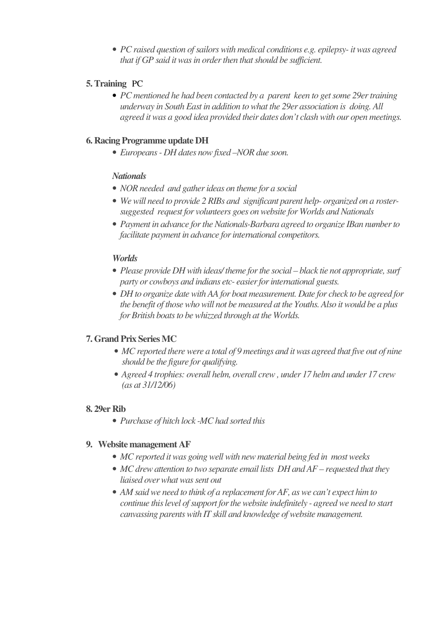• *PC raised question ofsailors with medical conditions e.g. epilepsy- itwas agreed that if GP said it was in order then that should be sufficient.* 

# **5.Training** PC

• *PC mentioned he had been contacted by a parent keen to getsome 29ertraining underway in South East in addition towhat the 29er association is doing. All agreed it was a good idea provided their dates don't clash with our open meetings.*

# **6. Racing Programme update DH**

• *Europeans- DH dates nowfixed –NOR due soon.*

# *Nationals*

- *NOR needed and gatherideas on theme for a social*
- *Wewill need to provide 2 RIBs and significant parent help- organized on a rostersuggested request for volunteers goes onwebsite for Worlds and Nationals*
- *Payment in advance fortheNationals-Barbara agreed to organize IBan numberto facilitate payment in advance forinternational competitors.*

# *Worlds*

- *Please provide DH with ideas/ theme for the social black tie not appropriate, surf party or cowboys and indians etc- easierforinternational guests.*
- *DH to organize date with AA for boat measurement. Date for check to be agreed for the benefit of thosewho will not be measured at the Youths. Also it would be a plus forBritish boatsto bewhizzed through at the Worlds.*

# **7. Grand Prix Series MC**

- *MC reported there were a total of 9 meetings and itwas agreed that five out of nine should be the figure for qualifying.*
- *Agreed 4 trophies: overall helm, overall crew, under 17 helm and under 17 crew (as at 31/12/06)*

# **8. 29er Rib**

• *Purchase of hitch lock -MChad sorted this*

#### **9. Website management AF**

- *MC reported itwas going well with new material being fed in mostweeks*
- *MCdrewattention to two separate email lists DH and AF – requested that they liaised overwhatwassent out*
- *AM saidwe need to think of a replacement forAF, as we can't expect him to continue thislevel ofsupport forthewebsite indefinitely - agreed we need to start canvassing parentswith IT skill and knowledge ofwebsite management.*